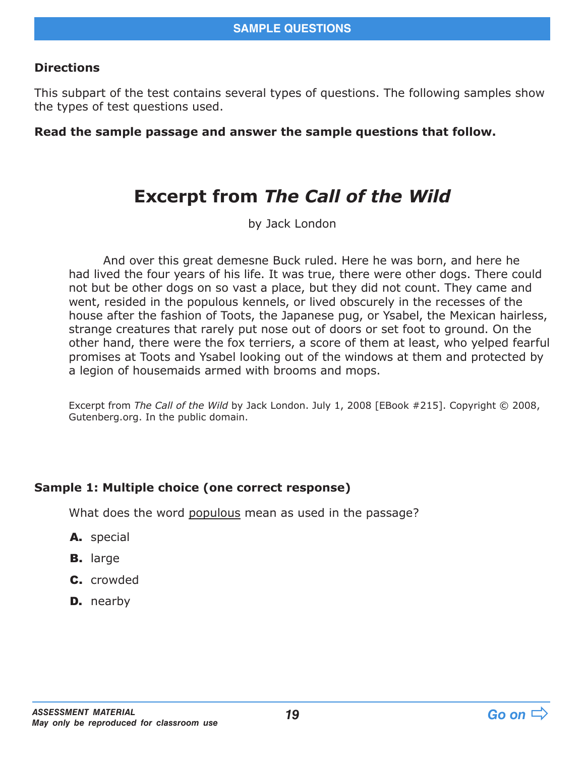#### **Directions**

This subpart of the test contains several types of questions. The following samples show the types of test questions used.

#### **Read the sample passage and answer the sample questions that follow.**

## **Excerpt from** *The Call of the Wild*

by Jack London

And over this great demesne Buck ruled. Here he was born, and here he had lived the four years of his life. It was true, there were other dogs. There could not but be other dogs on so vast a place, but they did not count. They came and went, resided in the populous kennels, or lived obscurely in the recesses of the house after the fashion of Toots, the Japanese pug, or Ysabel, the Mexican hairless, strange creatures that rarely put nose out of doors or set foot to ground. On the other hand, there were the fox terriers, a score of them at least, who yelped fearful promises at Toots and Ysabel looking out of the windows at them and protected by a legion of housemaids armed with brooms and mops.

Excerpt from *The Call of the Wild* by Jack London. July 1, 2008 [EBook #215]. Copyright © 2008, Gutenberg.org. In the public domain.

#### **Sample 1: Multiple choice (one correct response)**

What does the word populous mean as used in the passage?

- A. special
- B. large
- C. crowded
- **D.** nearby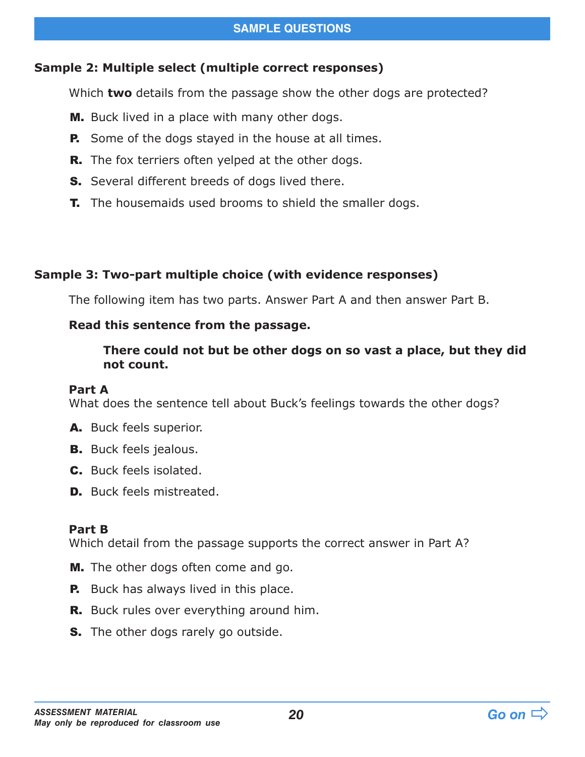### **Sample 2: Multiple select (multiple correct responses)**

Which **two** details from the passage show the other dogs are protected?

- M. Buck lived in a place with many other dogs.
- **P.** Some of the dogs stayed in the house at all times.
- **R.** The fox terriers often yelped at the other dogs.
- **S.** Several different breeds of dogs lived there.
- **T.** The housemaids used brooms to shield the smaller dogs.

## **Sample 3: Two-part multiple choice (with evidence responses)**

The following item has two parts. Answer Part A and then answer Part B.

### **Read this sentence from the passage.**

#### **There could not but be other dogs on so vast a place, but they did not count.**

#### **Part A**

What does the sentence tell about Buck's feelings towards the other dogs?

- A. Buck feels superior.
- **B.** Buck feels jealous.
- C. Buck feels isolated.
- **D.** Buck feels mistreated.

#### **Part B**

Which detail from the passage supports the correct answer in Part A?

- **M.** The other dogs often come and go.
- **P.** Buck has always lived in this place.
- R. Buck rules over everything around him.
- **S.** The other dogs rarely go outside.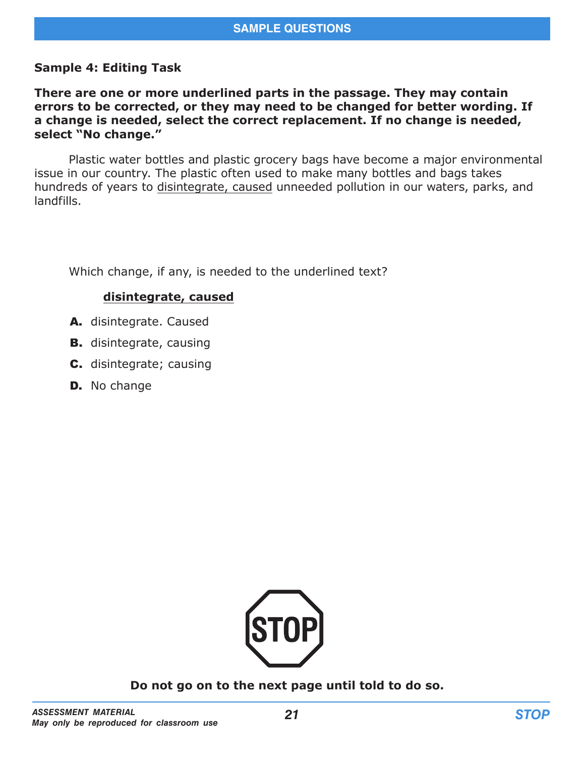#### **Sample 4: Editing Task**

#### **There are one or more underlined parts in the passage. They may contain errors to be corrected, or they may need to be changed for better wording. If a change is needed, select the correct replacement. If no change is needed, select "No change."**

Plastic water bottles and plastic grocery bags have become a major environmental issue in our country. The plastic often used to make many bottles and bags takes hundreds of years to disintegrate, caused unneeded pollution in our waters, parks, and landfills.

Which change, if any, is needed to the underlined text?

#### **disintegrate, caused**

- A. disintegrate. Caused
- **B.** disintegrate, causing
- C. disintegrate; causing
- **D.** No change



**Do not go on to the next page until told to do so.**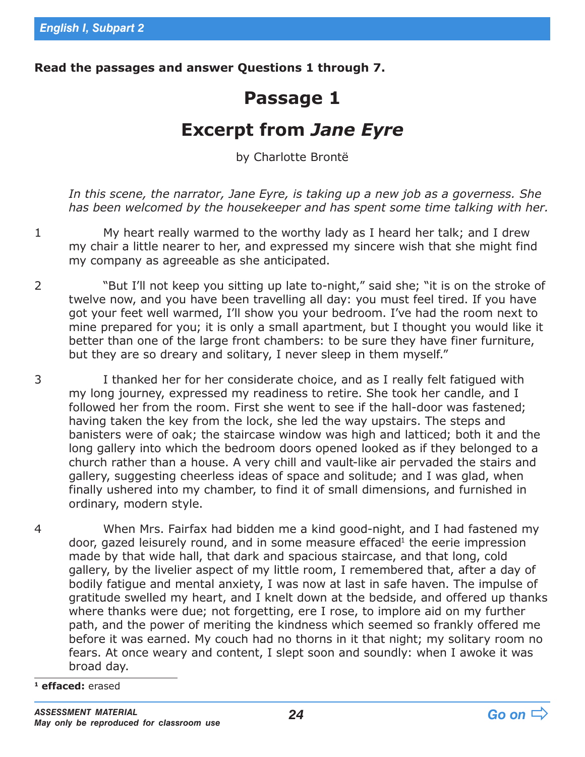**Read the passages and answer Questions 1 through 7.**

# **Passage 1**

## **Excerpt from** *Jane Eyre*

by Charlotte Brontë

*In this scene, the narrator, Jane Eyre, is taking up a new job as a governess. She has been welcomed by the housekeeper and has spent some time talking with her.*

1 My heart really warmed to the worthy lady as I heard her talk; and I drew my chair a little nearer to her, and expressed my sincere wish that she might find my company as agreeable as she anticipated.

- 2 "But I'll not keep you sitting up late to-night," said she; "it is on the stroke of twelve now, and you have been travelling all day: you must feel tired. If you have got your feet well warmed, I'll show you your bedroom. I've had the room next to mine prepared for you; it is only a small apartment, but I thought you would like it better than one of the large front chambers: to be sure they have finer furniture, but they are so dreary and solitary, I never sleep in them myself."
- 3 I thanked her for her considerate choice, and as I really felt fatigued with my long journey, expressed my readiness to retire. She took her candle, and I followed her from the room. First she went to see if the hall-door was fastened; having taken the key from the lock, she led the way upstairs. The steps and banisters were of oak; the staircase window was high and latticed; both it and the long gallery into which the bedroom doors opened looked as if they belonged to a church rather than a house. A very chill and vault-like air pervaded the stairs and gallery, suggesting cheerless ideas of space and solitude; and I was glad, when finally ushered into my chamber, to find it of small dimensions, and furnished in ordinary, modern style.
- 4 When Mrs. Fairfax had bidden me a kind good-night, and I had fastened my door, gazed leisurely round, and in some measure effaced<sup>1</sup> the eerie impression made by that wide hall, that dark and spacious staircase, and that long, cold gallery, by the livelier aspect of my little room, I remembered that, after a day of bodily fatigue and mental anxiety, I was now at last in safe haven. The impulse of gratitude swelled my heart, and I knelt down at the bedside, and offered up thanks where thanks were due; not forgetting, ere I rose, to implore aid on my further path, and the power of meriting the kindness which seemed so frankly offered me before it was earned. My couch had no thorns in it that night; my solitary room no fears. At once weary and content, I slept soon and soundly: when I awoke it was broad day.

**<sup>1</sup> effaced:** erased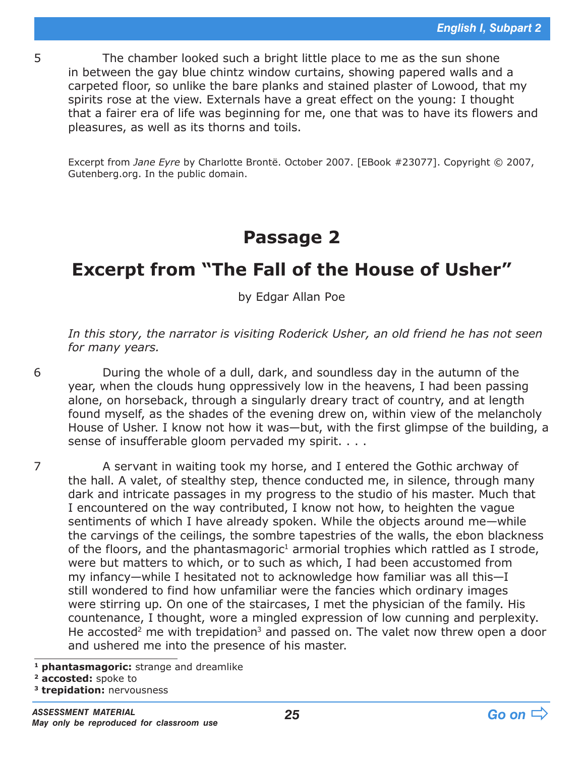5 The chamber looked such a bright little place to me as the sun shone in between the gay blue chintz window curtains, showing papered walls and a carpeted floor, so unlike the bare planks and stained plaster of Lowood, that my spirits rose at the view. Externals have a great effect on the young: I thought that a fairer era of life was beginning for me, one that was to have its flowers and pleasures, as well as its thorns and toils.

Excerpt from *Jane Eyre* by Charlotte Brontë. October 2007. [EBook #23077]. Copyright © 2007, Gutenberg.org. In the public domain.

## **Passage 2**

## **Excerpt from "The Fall of the House of Usher"**

by Edgar Allan Poe

*In this story, the narrator is visiting Roderick Usher, an old friend he has not seen for many years.*

6 During the whole of a dull, dark, and soundless day in the autumn of the year, when the clouds hung oppressively low in the heavens, I had been passing alone, on horseback, through a singularly dreary tract of country, and at length found myself, as the shades of the evening drew on, within view of the melancholy House of Usher. I know not how it was—but, with the first glimpse of the building, a sense of insufferable gloom pervaded my spirit. . . .

7 A servant in waiting took my horse, and I entered the Gothic archway of the hall. A valet, of stealthy step, thence conducted me, in silence, through many dark and intricate passages in my progress to the studio of his master. Much that I encountered on the way contributed, I know not how, to heighten the vague sentiments of which I have already spoken. While the objects around me—while the carvings of the ceilings, the sombre tapestries of the walls, the ebon blackness of the floors, and the phantasmagoric<sup>1</sup> armorial trophies which rattled as I strode, were but matters to which, or to such as which, I had been accustomed from my infancy—while I hesitated not to acknowledge how familiar was all this—I still wondered to find how unfamiliar were the fancies which ordinary images were stirring up. On one of the staircases, I met the physician of the family. His countenance, I thought, wore a mingled expression of low cunning and perplexity. He accosted<sup>2</sup> me with trepidation<sup>3</sup> and passed on. The valet now threw open a door and ushered me into the presence of his master.

**<sup>1</sup> phantasmagoric:** strange and dreamlike

**<sup>2</sup> accosted:** spoke to

**<sup>3</sup> trepidation:** nervousness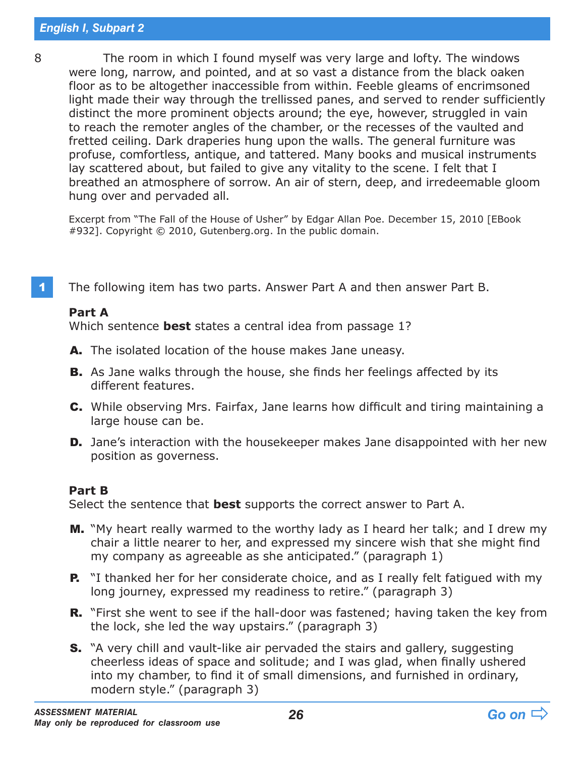8 The room in which I found myself was very large and lofty. The windows were long, narrow, and pointed, and at so vast a distance from the black oaken floor as to be altogether inaccessible from within. Feeble gleams of encrimsoned light made their way through the trellissed panes, and served to render sufficiently distinct the more prominent objects around; the eye, however, struggled in vain to reach the remoter angles of the chamber, or the recesses of the vaulted and fretted ceiling. Dark draperies hung upon the walls. The general furniture was profuse, comfortless, antique, and tattered. Many books and musical instruments lay scattered about, but failed to give any vitality to the scene. I felt that I breathed an atmosphere of sorrow. An air of stern, deep, and irredeemable gloom hung over and pervaded all.

Excerpt from "The Fall of the House of Usher" by Edgar Allan Poe. December 15, 2010 [EBook #932]. Copyright © 2010, Gutenberg.org. In the public domain.

1 The following item has two parts. Answer Part A and then answer Part B.

#### **Part A**

Which sentence **best** states a central idea from passage 1?

- A. The isolated location of the house makes Jane uneasy.
- **B.** As Jane walks through the house, she finds her feelings affected by its different features.
- C. While observing Mrs. Fairfax, Jane learns how difficult and tiring maintaining a large house can be.
- **D.** Jane's interaction with the housekeeper makes Jane disappointed with her new position as governess.

#### **Part B**

Select the sentence that **best** supports the correct answer to Part A.

- **M.** "My heart really warmed to the worthy lady as I heard her talk; and I drew my chair a little nearer to her, and expressed my sincere wish that she might find my company as agreeable as she anticipated." (paragraph 1)
- **P.** "I thanked her for her considerate choice, and as I really felt fatigued with my long journey, expressed my readiness to retire." (paragraph 3)
- **R.** "First she went to see if the hall-door was fastened; having taken the key from the lock, she led the way upstairs." (paragraph 3)
- **S.** "A very chill and vault-like air pervaded the stairs and gallery, suggesting cheerless ideas of space and solitude; and I was glad, when finally ushered into my chamber, to find it of small dimensions, and furnished in ordinary, modern style." (paragraph 3)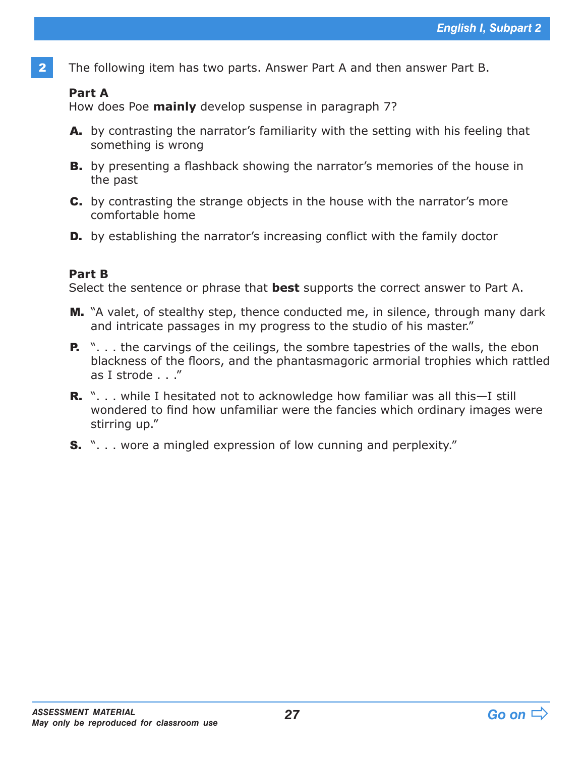2 The following item has two parts. Answer Part A and then answer Part B.

#### **Part A**

How does Poe **mainly** develop suspense in paragraph 7?

- A. by contrasting the narrator's familiarity with the setting with his feeling that something is wrong
- B. by presenting a flashback showing the narrator's memories of the house in the past
- C. by contrasting the strange objects in the house with the narrator's more comfortable home
- **D.** by establishing the narrator's increasing conflict with the family doctor

#### **Part B**

Select the sentence or phrase that **best** supports the correct answer to Part A.

- M. "A valet, of stealthy step, thence conducted me, in silence, through many dark and intricate passages in my progress to the studio of his master."
- **P.** "... the carvings of the ceilings, the sombre tapestries of the walls, the ebon blackness of the floors, and the phantasmagoric armorial trophies which rattled as I strode . . ."
- **R.** "... while I hesitated not to acknowledge how familiar was all this—I still wondered to find how unfamiliar were the fancies which ordinary images were stirring up."
- **S.** "... wore a mingled expression of low cunning and perplexity."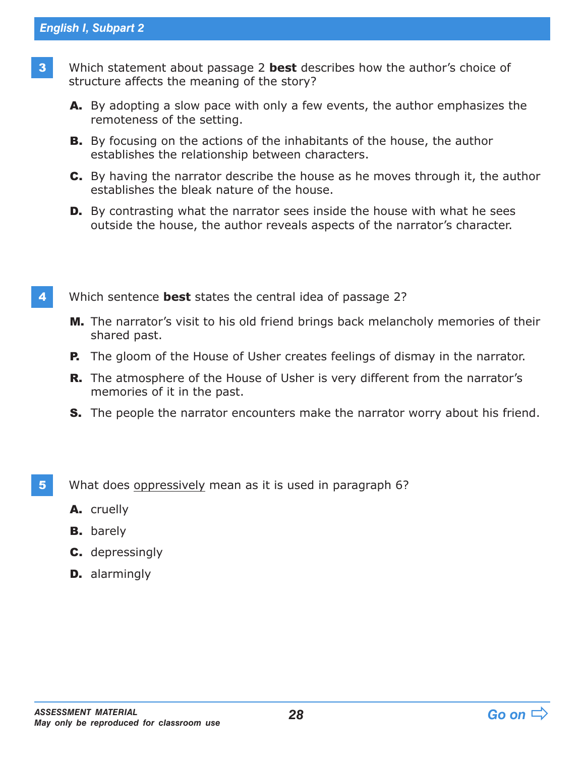- 3 Which statement about passage 2 **best** describes how the author's choice of structure affects the meaning of the story?
	- A. By adopting a slow pace with only a few events, the author emphasizes the remoteness of the setting.
	- **B.** By focusing on the actions of the inhabitants of the house, the author establishes the relationship between characters.
	- C. By having the narrator describe the house as he moves through it, the author establishes the bleak nature of the house.
	- **D.** By contrasting what the narrator sees inside the house with what he sees outside the house, the author reveals aspects of the narrator's character.
- 4 Which sentence **best** states the central idea of passage 2?
	- M. The narrator's visit to his old friend brings back melancholy memories of their shared past.
	- **P.** The gloom of the House of Usher creates feelings of dismay in the narrator.
	- **R.** The atmosphere of the House of Usher is very different from the narrator's memories of it in the past.
	- **S.** The people the narrator encounters make the narrator worry about his friend.
- 5 What does oppressively mean as it is used in paragraph 6?
	- A. cruelly
	- **B.** barely
	- C. depressingly
	- **D.** alarmingly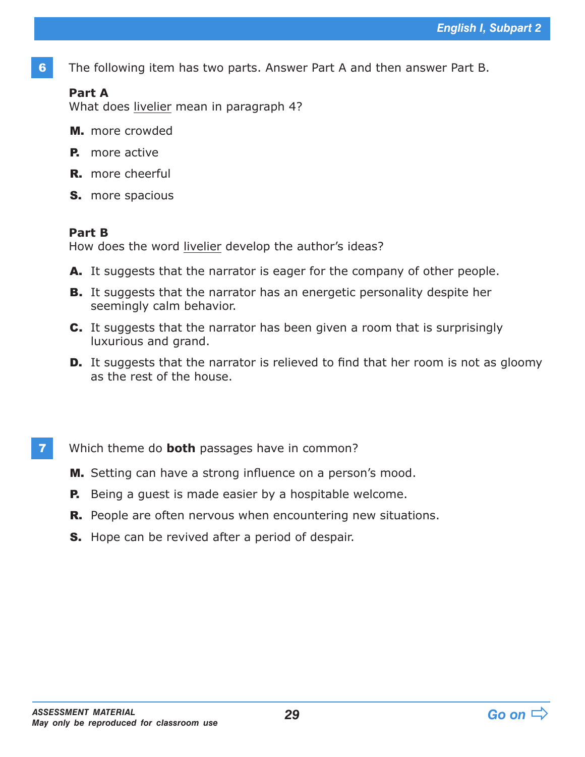6 The following item has two parts. Answer Part A and then answer Part B.

### **Part A**

What does livelier mean in paragraph 4?

- M. more crowded
- **P.** more active
- R. more cheerful
- S. more spacious

#### **Part B**

How does the word livelier develop the author's ideas?

- A. It suggests that the narrator is eager for the company of other people.
- **B.** It suggests that the narrator has an energetic personality despite her seemingly calm behavior.
- C. It suggests that the narrator has been given a room that is surprisingly luxurious and grand.
- **D.** It suggests that the narrator is relieved to find that her room is not as gloomy as the rest of the house.
- 7 Which theme do **both** passages have in common?
	- M. Setting can have a strong influence on a person's mood.
	- **P.** Being a quest is made easier by a hospitable welcome.
	- **R.** People are often nervous when encountering new situations.
	- **S.** Hope can be revived after a period of despair.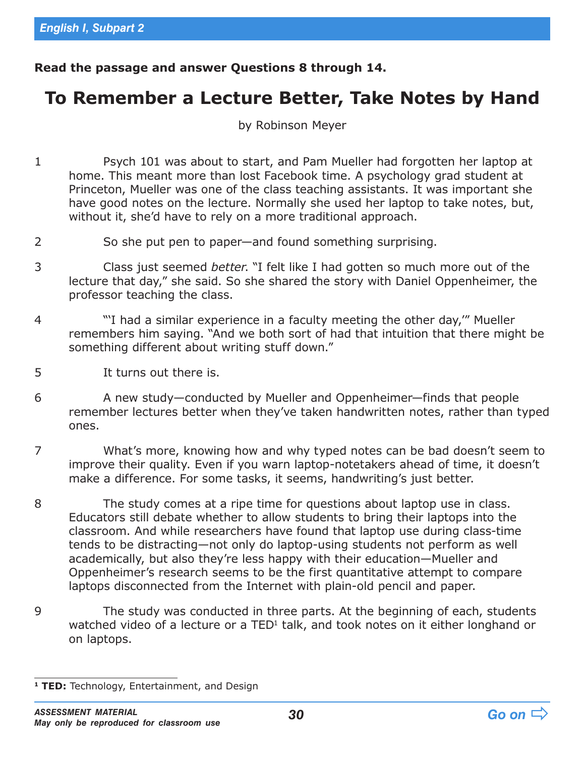**Read the passage and answer Questions 8 through 14.**

## **To Remember a Lecture Better, Take Notes by Hand**

by Robinson Meyer

- 1 Psych 101 was about to start, and Pam Mueller had forgotten her laptop at home. This meant more than lost Facebook time. A psychology grad student at Princeton, Mueller was one of the class teaching assistants. It was important she have good notes on the lecture. Normally she used her laptop to take notes, but, without it, she'd have to rely on a more traditional approach.
- 2 So she put pen to paper—and found something surprising.
- 3 Class just seemed *better*. "I felt like I had gotten so much more out of the lecture that day," she said. So she shared the story with Daniel Oppenheimer, the professor teaching the class.
- 4 "'I had a similar experience in a faculty meeting the other day,'" Mueller remembers him saying. "And we both sort of had that intuition that there might be something different about writing stuff down."
- 5 It turns out there is.
- 6 A new study—conducted by Mueller and Oppenheimer—finds that people remember lectures better when they've taken handwritten notes, rather than typed ones.
- 7 What's more, knowing how and why typed notes can be bad doesn't seem to improve their quality. Even if you warn laptop-notetakers ahead of time, it doesn't make a difference. For some tasks, it seems, handwriting's just better.
- 8 The study comes at a ripe time for questions about laptop use in class. Educators still debate whether to allow students to bring their laptops into the classroom. And while researchers have found that laptop use during class-time tends to be distracting—not only do laptop-using students not perform as well academically, but also they're less happy with their education—Mueller and Oppenheimer's research seems to be the first quantitative attempt to compare laptops disconnected from the Internet with plain-old pencil and paper.
- 9 The study was conducted in three parts. At the beginning of each, students watched video of a lecture or a TED<sup>1</sup> talk, and took notes on it either longhand or on laptops.

**<sup>1</sup> TED:** Technology, Entertainment, and Design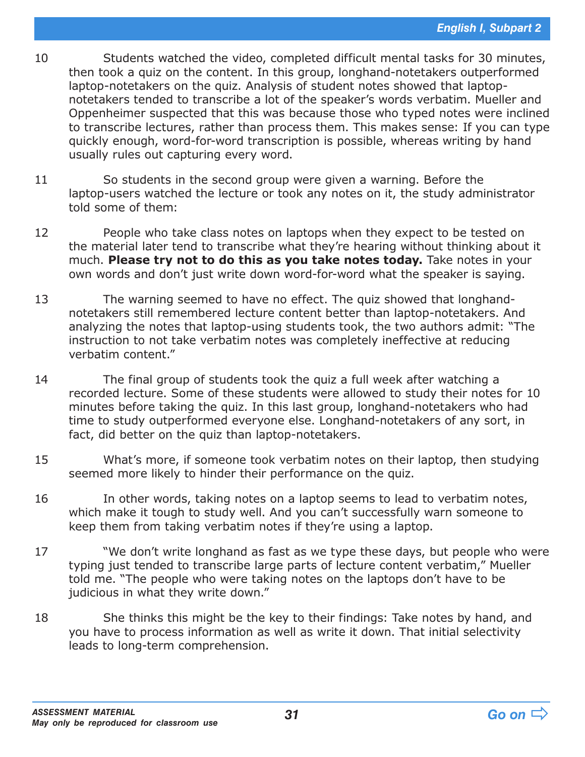- 10 Students watched the video, completed difficult mental tasks for 30 minutes, then took a quiz on the content. In this group, longhand-notetakers outperformed laptop-notetakers on the quiz. Analysis of student notes showed that laptopnotetakers tended to transcribe a lot of the speaker's words verbatim. Mueller and Oppenheimer suspected that this was because those who typed notes were inclined to transcribe lectures, rather than process them. This makes sense: If you can type quickly enough, word-for-word transcription is possible, whereas writing by hand usually rules out capturing every word.
- 11 So students in the second group were given a warning. Before the laptop-users watched the lecture or took any notes on it, the study administrator told some of them:
- 12 People who take class notes on laptops when they expect to be tested on the material later tend to transcribe what they're hearing without thinking about it much. **Please try not to do this as you take notes today.** Take notes in your own words and don't just write down word-for-word what the speaker is saying.
- 13 The warning seemed to have no effect. The quiz showed that longhandnotetakers still remembered lecture content better than laptop-notetakers. And analyzing the notes that laptop-using students took, the two authors admit: "The instruction to not take verbatim notes was completely ineffective at reducing verbatim content."
- 14 The final group of students took the quiz a full week after watching a recorded lecture. Some of these students were allowed to study their notes for 10 minutes before taking the quiz. In this last group, longhand-notetakers who had time to study outperformed everyone else. Longhand-notetakers of any sort, in fact, did better on the quiz than laptop-notetakers.
- 15 What's more, if someone took verbatim notes on their laptop, then studying seemed more likely to hinder their performance on the quiz.
- 16 In other words, taking notes on a laptop seems to lead to verbatim notes, which make it tough to study well. And you can't successfully warn someone to keep them from taking verbatim notes if they're using a laptop.
- 17 "We don't write longhand as fast as we type these days, but people who were typing just tended to transcribe large parts of lecture content verbatim," Mueller told me. "The people who were taking notes on the laptops don't have to be judicious in what they write down."
- 18 She thinks this might be the key to their findings: Take notes by hand, and you have to process information as well as write it down. That initial selectivity leads to long-term comprehension.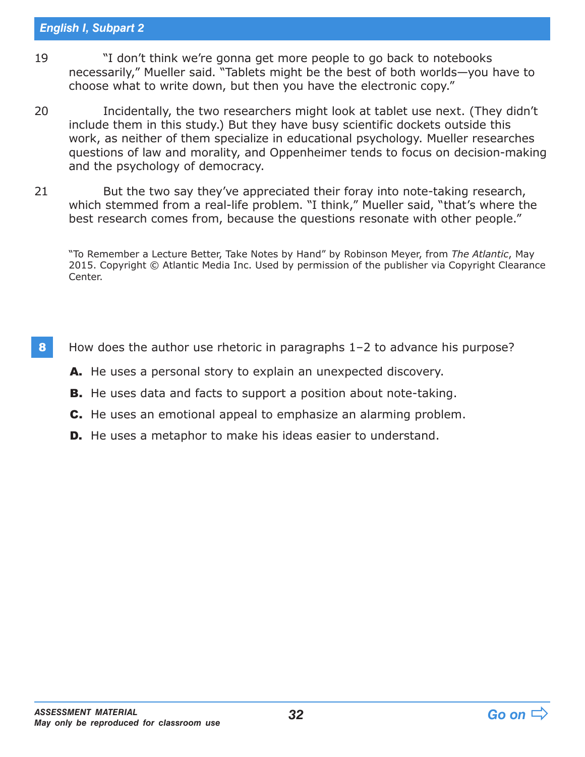#### *English I, Subpart 2*

- 19 "I don't think we're gonna get more people to go back to notebooks necessarily," Mueller said. "Tablets might be the best of both worlds—you have to choose what to write down, but then you have the electronic copy."
- 20 Incidentally, the two researchers might look at tablet use next. (They didn't include them in this study.) But they have busy scientific dockets outside this work, as neither of them specialize in educational psychology. Mueller researches questions of law and morality, and Oppenheimer tends to focus on decision-making and the psychology of democracy.
- 21 But the two say they've appreciated their foray into note-taking research, which stemmed from a real-life problem. "I think," Mueller said, "that's where the best research comes from, because the questions resonate with other people."

"To Remember a Lecture Better, Take Notes by Hand" by Robinson Meyer, from *The Atlantic*, May 2015. Copyright © Atlantic Media Inc. Used by permission of the publisher via Copyright Clearance Center.

- 8 How does the author use rhetoric in paragraphs 1–2 to advance his purpose?
	- A. He uses a personal story to explain an unexpected discovery.
	- **B.** He uses data and facts to support a position about note-taking.
	- C. He uses an emotional appeal to emphasize an alarming problem.
	- **D.** He uses a metaphor to make his ideas easier to understand.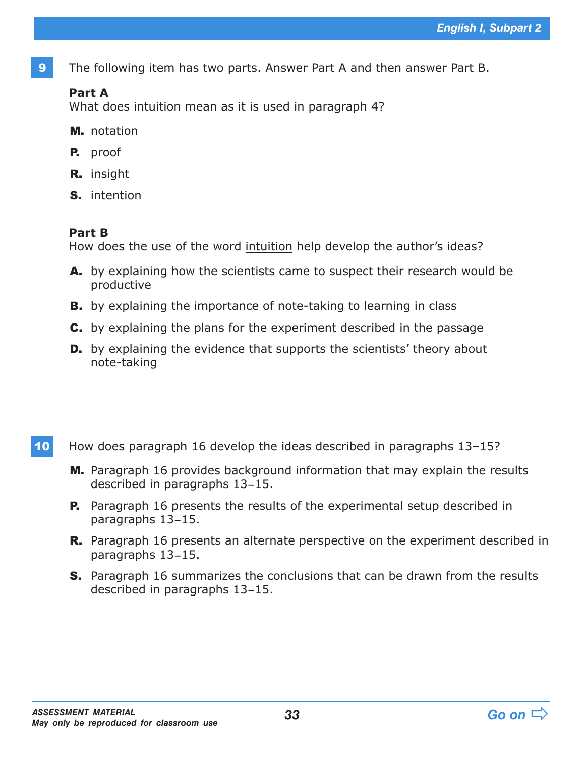9 The following item has two parts. Answer Part A and then answer Part B.

### **Part A**

What does intuition mean as it is used in paragraph 4?

- M. notation
- P. proof
- R. insight
- S. intention

#### **Part B**

How does the use of the word intuition help develop the author's ideas?

- A. by explaining how the scientists came to suspect their research would be productive
- **B.** by explaining the importance of note-taking to learning in class
- C. by explaining the plans for the experiment described in the passage
- **D.** by explaining the evidence that supports the scientists' theory about note-taking
- 10 How does paragraph 16 develop the ideas described in paragraphs 13–15?
	- M. Paragraph 16 provides background information that may explain the results described in paragraphs 13–15.
	- **P.** Paragraph 16 presents the results of the experimental setup described in paragraphs 13–15.
	- **R.** Paragraph 16 presents an alternate perspective on the experiment described in paragraphs 13–15.
	- S. Paragraph 16 summarizes the conclusions that can be drawn from the results described in paragraphs 13–15.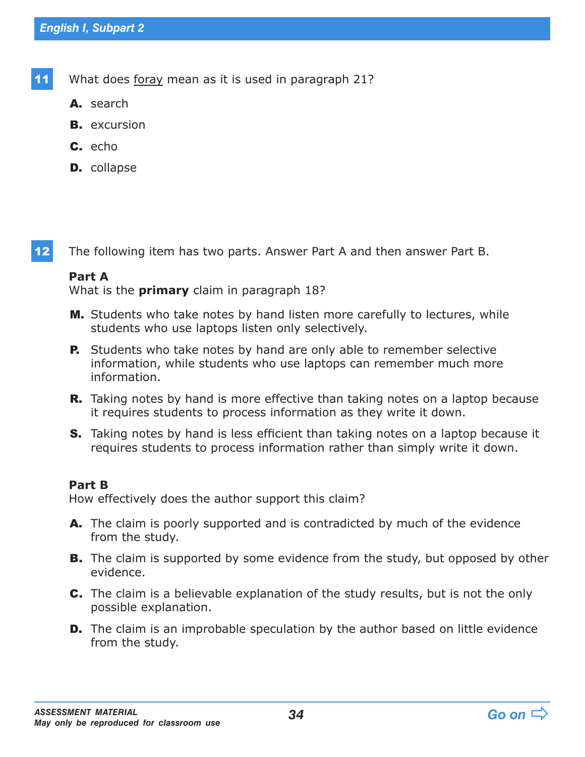11 What does foray mean as it is used in paragraph 21?

- A. search
- **B.** excursion
- C. echo
- **D.** collapse

12 The following item has two parts. Answer Part A and then answer Part B.

#### **Part A**

What is the **primary** claim in paragraph 18?

- M. Students who take notes by hand listen more carefully to lectures, while students who use laptops listen only selectively.
- **P.** Students who take notes by hand are only able to remember selective information, while students who use laptops can remember much more information.
- **R.** Taking notes by hand is more effective than taking notes on a laptop because it requires students to process information as they write it down.
- **S.** Taking notes by hand is less efficient than taking notes on a laptop because it requires students to process information rather than simply write it down.

#### **Part B**

How effectively does the author support this claim?

- A. The claim is poorly supported and is contradicted by much of the evidence from the study.
- **B.** The claim is supported by some evidence from the study, but opposed by other evidence.
- C. The claim is a believable explanation of the study results, but is not the only possible explanation.
- **D.** The claim is an improbable speculation by the author based on little evidence from the study.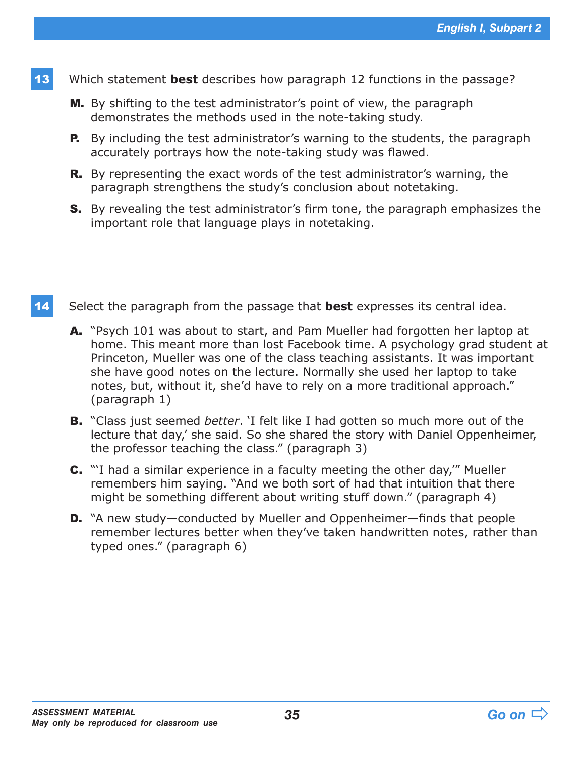- 13 Which statement **best** describes how paragraph 12 functions in the passage?
	- M. By shifting to the test administrator's point of view, the paragraph demonstrates the methods used in the note-taking study.
	- **P.** By including the test administrator's warning to the students, the paragraph accurately portrays how the note-taking study was flawed.
	- **R.** By representing the exact words of the test administrator's warning, the paragraph strengthens the study's conclusion about notetaking.
	- **S.** By revealing the test administrator's firm tone, the paragraph emphasizes the important role that language plays in notetaking.
- 14 Select the paragraph from the passage that **best** expresses its central idea.
	- A. "Psych 101 was about to start, and Pam Mueller had forgotten her laptop at home. This meant more than lost Facebook time. A psychology grad student at Princeton, Mueller was one of the class teaching assistants. It was important she have good notes on the lecture. Normally she used her laptop to take notes, but, without it, she'd have to rely on a more traditional approach." (paragraph 1)
	- B. "Class just seemed *better*. 'I felt like I had gotten so much more out of the lecture that day,' she said. So she shared the story with Daniel Oppenheimer, the professor teaching the class." (paragraph 3)
	- C. "'I had a similar experience in a faculty meeting the other day,'" Mueller remembers him saying. "And we both sort of had that intuition that there might be something different about writing stuff down." (paragraph 4)
	- D. "A new study—conducted by Mueller and Oppenheimer—finds that people remember lectures better when they've taken handwritten notes, rather than typed ones." (paragraph 6)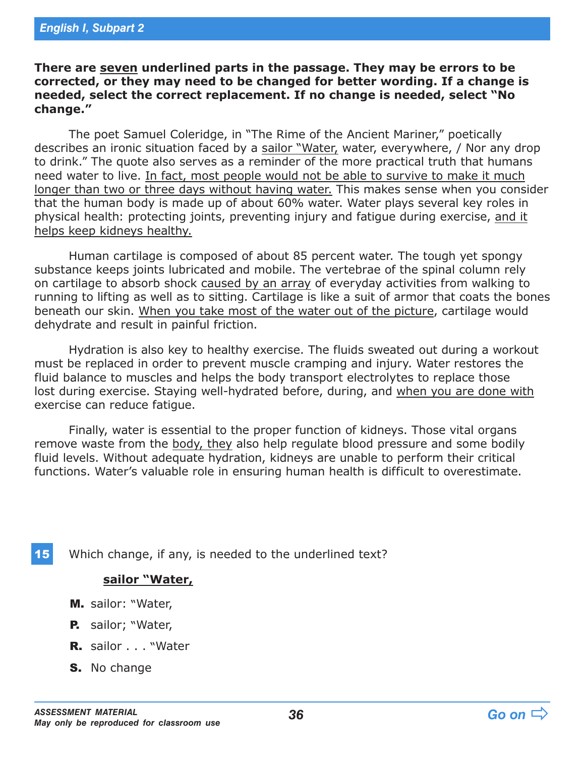**There are seven underlined parts in the passage. They may be errors to be corrected, or they may need to be changed for better wording. If a change is needed, select the correct replacement. If no change is needed, select "No change."**

The poet Samuel Coleridge, in "The Rime of the Ancient Mariner," poetically describes an ironic situation faced by a sailor "Water, water, everywhere, / Nor any drop to drink." The quote also serves as a reminder of the more practical truth that humans need water to live. In fact, most people would not be able to survive to make it much longer than two or three days without having water. This makes sense when you consider that the human body is made up of about 60% water. Water plays several key roles in physical health: protecting joints, preventing injury and fatigue during exercise, and it helps keep kidneys healthy.

Human cartilage is composed of about 85 percent water. The tough yet spongy substance keeps joints lubricated and mobile. The vertebrae of the spinal column rely on cartilage to absorb shock caused by an array of everyday activities from walking to running to lifting as well as to sitting. Cartilage is like a suit of armor that coats the bones beneath our skin. When you take most of the water out of the picture, cartilage would dehydrate and result in painful friction.

Hydration is also key to healthy exercise. The fluids sweated out during a workout must be replaced in order to prevent muscle cramping and injury. Water restores the fluid balance to muscles and helps the body transport electrolytes to replace those lost during exercise. Staying well-hydrated before, during, and when you are done with exercise can reduce fatigue.

Finally, water is essential to the proper function of kidneys. Those vital organs remove waste from the body, they also help regulate blood pressure and some bodily fluid levels. Without adequate hydration, kidneys are unable to perform their critical functions. Water's valuable role in ensuring human health is difficult to overestimate.

15 Which change, if any, is needed to the underlined text?

#### **sailor "Water,**

- M. sailor: "Water,
- P. sailor; "Water,
- R. sailor . . . "Water
- S. No change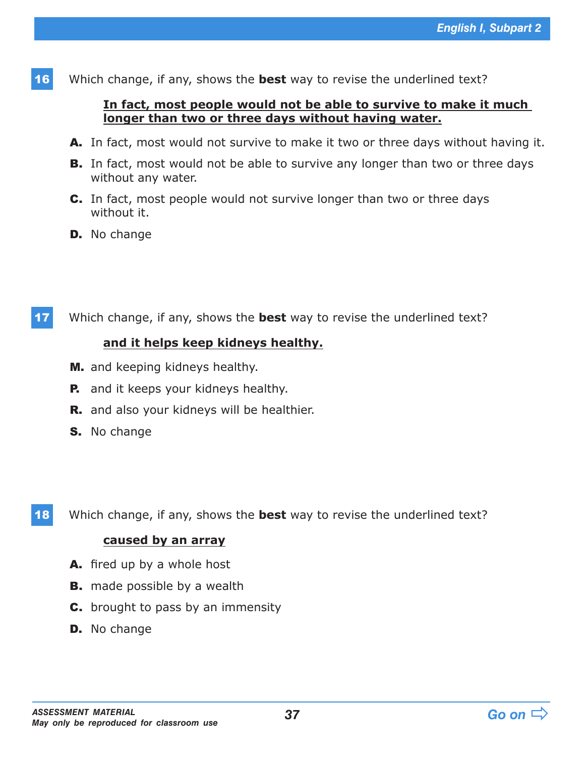16 Which change, if any, shows the **best** way to revise the underlined text?

#### **In fact, most people would not be able to survive to make it much longer than two or three days without having water.**

- A. In fact, most would not survive to make it two or three days without having it.
- **B.** In fact, most would not be able to survive any longer than two or three days without any water.
- C. In fact, most people would not survive longer than two or three days without it.
- **D.** No change
- 17 Which change, if any, shows the **best** way to revise the underlined text?

#### **and it helps keep kidneys healthy.**

- M. and keeping kidneys healthy.
- **P.** and it keeps your kidneys healthy.
- **R.** and also your kidneys will be healthier.
- S. No change

18 Which change, if any, shows the **best** way to revise the underlined text?

#### **caused by an array**

- A. fired up by a whole host
- **B.** made possible by a wealth
- **C.** brought to pass by an immensity
- **D.** No change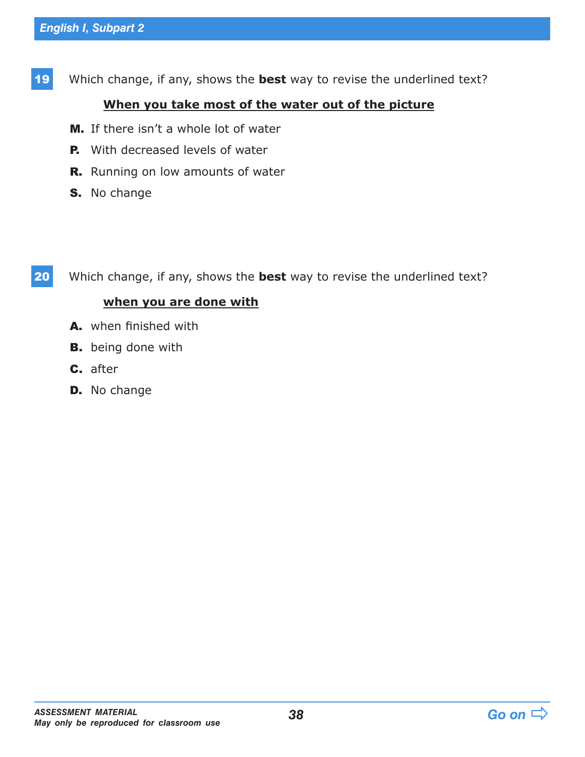19 Which change, if any, shows the **best** way to revise the underlined text?

### **When you take most of the water out of the picture**

- M. If there isn't a whole lot of water
- **P.** With decreased levels of water
- R. Running on low amounts of water
- S. No change

20 Which change, if any, shows the **best** way to revise the underlined text?

## **when you are done with**

- A. when finished with
- **B.** being done with
- C. after
- D. No change